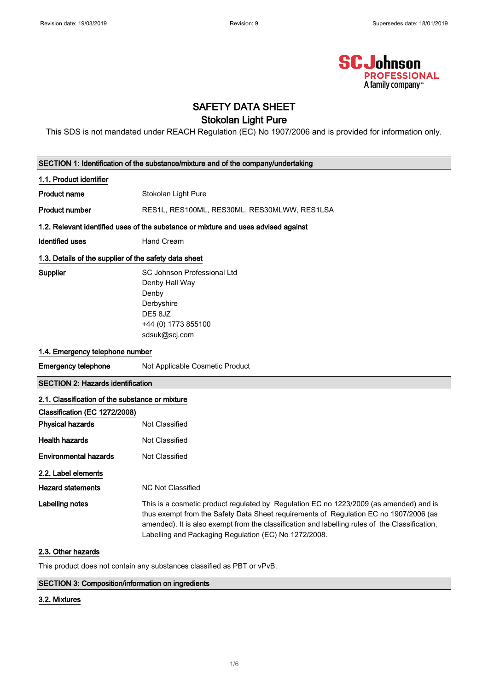

## SAFETY DATA SHEET

## Stokolan Light Pure

This SDS is not mandated under REACH Regulation (EC) No 1907/2006 and is provided for information only.

| SECTION 1: Identification of the substance/mixture and of the company/undertaking |                                                                                                                                                                                                                                                                                                                                            |  |
|-----------------------------------------------------------------------------------|--------------------------------------------------------------------------------------------------------------------------------------------------------------------------------------------------------------------------------------------------------------------------------------------------------------------------------------------|--|
| 1.1. Product identifier                                                           |                                                                                                                                                                                                                                                                                                                                            |  |
| <b>Product name</b>                                                               | Stokolan Light Pure                                                                                                                                                                                                                                                                                                                        |  |
| <b>Product number</b>                                                             | RES1L, RES100ML, RES30ML, RES30MLWW, RES1LSA                                                                                                                                                                                                                                                                                               |  |
|                                                                                   | 1.2. Relevant identified uses of the substance or mixture and uses advised against                                                                                                                                                                                                                                                         |  |
| Identified uses                                                                   | <b>Hand Cream</b>                                                                                                                                                                                                                                                                                                                          |  |
| 1.3. Details of the supplier of the safety data sheet                             |                                                                                                                                                                                                                                                                                                                                            |  |
|                                                                                   | SC Johnson Professional Ltd                                                                                                                                                                                                                                                                                                                |  |
| Supplier                                                                          | Denby Hall Way                                                                                                                                                                                                                                                                                                                             |  |
|                                                                                   | Denby                                                                                                                                                                                                                                                                                                                                      |  |
|                                                                                   | Derbyshire                                                                                                                                                                                                                                                                                                                                 |  |
|                                                                                   | DE58JZ                                                                                                                                                                                                                                                                                                                                     |  |
|                                                                                   | +44 (0) 1773 855100                                                                                                                                                                                                                                                                                                                        |  |
|                                                                                   | sdsuk@scj.com                                                                                                                                                                                                                                                                                                                              |  |
| 1.4. Emergency telephone number                                                   |                                                                                                                                                                                                                                                                                                                                            |  |
| <b>Emergency telephone</b>                                                        | Not Applicable Cosmetic Product                                                                                                                                                                                                                                                                                                            |  |
| <b>SECTION 2: Hazards identification</b>                                          |                                                                                                                                                                                                                                                                                                                                            |  |
| 2.1. Classification of the substance or mixture                                   |                                                                                                                                                                                                                                                                                                                                            |  |
| Classification (EC 1272/2008)                                                     |                                                                                                                                                                                                                                                                                                                                            |  |
| <b>Physical hazards</b>                                                           | Not Classified                                                                                                                                                                                                                                                                                                                             |  |
| <b>Health hazards</b>                                                             | Not Classified                                                                                                                                                                                                                                                                                                                             |  |
| <b>Environmental hazards</b>                                                      | <b>Not Classified</b>                                                                                                                                                                                                                                                                                                                      |  |
| 2.2. Label elements                                                               |                                                                                                                                                                                                                                                                                                                                            |  |
| <b>Hazard statements</b>                                                          | <b>NC Not Classified</b>                                                                                                                                                                                                                                                                                                                   |  |
| Labelling notes                                                                   | This is a cosmetic product regulated by Regulation EC no 1223/2009 (as amended) and is<br>thus exempt from the Safety Data Sheet requirements of Regulation EC no 1907/2006 (as<br>amended). It is also exempt from the classification and labelling rules of the Classification,<br>Labelling and Packaging Regulation (EC) No 1272/2008. |  |
| 2.3. Other hazards                                                                |                                                                                                                                                                                                                                                                                                                                            |  |

This product does not contain any substances classified as PBT or vPvB.

## SECTION 3: Composition/information on ingredients

## 3.2. Mixtures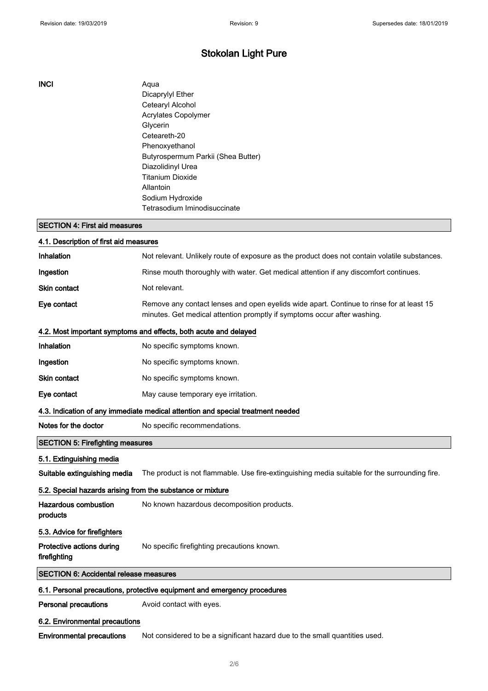## INCI Aqua

Dicaprylyl Ether Cetearyl Alcohol Acrylates Copolymer Glycerin Ceteareth-20 Phenoxyethanol Butyrospermum Parkii (Shea Butter) Diazolidinyl Urea Titanium Dioxide Allantoin Sodium Hydroxide Tetrasodium Iminodisuccinate

## SECTION 4: First aid measures

| 4.1. Description of first aid measures                                          |                                                                                                                                                                      |  |
|---------------------------------------------------------------------------------|----------------------------------------------------------------------------------------------------------------------------------------------------------------------|--|
| Inhalation                                                                      | Not relevant. Unlikely route of exposure as the product does not contain volatile substances.                                                                        |  |
| Ingestion                                                                       | Rinse mouth thoroughly with water. Get medical attention if any discomfort continues.                                                                                |  |
| <b>Skin contact</b>                                                             | Not relevant.                                                                                                                                                        |  |
| Eye contact                                                                     | Remove any contact lenses and open eyelids wide apart. Continue to rinse for at least 15<br>minutes. Get medical attention promptly if symptoms occur after washing. |  |
|                                                                                 | 4.2. Most important symptoms and effects, both acute and delayed                                                                                                     |  |
| Inhalation                                                                      | No specific symptoms known.                                                                                                                                          |  |
| Ingestion                                                                       | No specific symptoms known.                                                                                                                                          |  |
| Skin contact                                                                    | No specific symptoms known.                                                                                                                                          |  |
| Eye contact                                                                     | May cause temporary eye irritation.                                                                                                                                  |  |
| 4.3. Indication of any immediate medical attention and special treatment needed |                                                                                                                                                                      |  |
| Notes for the doctor                                                            | No specific recommendations.                                                                                                                                         |  |
| <b>SECTION 5: Firefighting measures</b>                                         |                                                                                                                                                                      |  |
| 5.1. Extinguishing media                                                        |                                                                                                                                                                      |  |
| Suitable extinguishing media                                                    | The product is not flammable. Use fire-extinguishing media suitable for the surrounding fire.                                                                        |  |
| 5.2. Special hazards arising from the substance or mixture                      |                                                                                                                                                                      |  |
| <b>Hazardous combustion</b><br>products                                         | No known hazardous decomposition products.                                                                                                                           |  |
| 5.3. Advice for firefighters                                                    |                                                                                                                                                                      |  |
| Protective actions during<br>firefighting                                       | No specific firefighting precautions known.                                                                                                                          |  |
| <b>SECTION 6: Accidental release measures</b>                                   |                                                                                                                                                                      |  |
| 6.1. Personal precautions, protective equipment and emergency procedures        |                                                                                                                                                                      |  |
| <b>Personal precautions</b>                                                     | Avoid contact with eyes.                                                                                                                                             |  |
| 6.2. Environmental precautions                                                  |                                                                                                                                                                      |  |

Environmental precautions Not considered to be a significant hazard due to the small quantities used.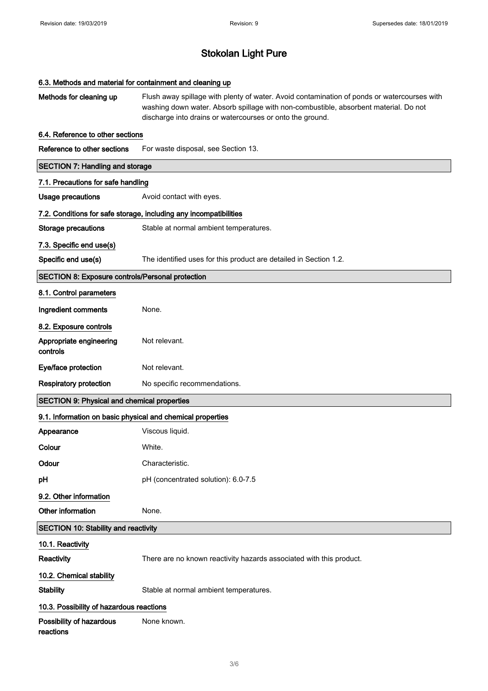| 6.3. Methods and material for containment and cleaning up  |                                                                                                                                                                                                                                                  |  |
|------------------------------------------------------------|--------------------------------------------------------------------------------------------------------------------------------------------------------------------------------------------------------------------------------------------------|--|
| Methods for cleaning up                                    | Flush away spillage with plenty of water. Avoid contamination of ponds or watercourses with<br>washing down water. Absorb spillage with non-combustible, absorbent material. Do not<br>discharge into drains or watercourses or onto the ground. |  |
| 6.4. Reference to other sections                           |                                                                                                                                                                                                                                                  |  |
| Reference to other sections                                | For waste disposal, see Section 13.                                                                                                                                                                                                              |  |
| <b>SECTION 7: Handling and storage</b>                     |                                                                                                                                                                                                                                                  |  |
| 7.1. Precautions for safe handling                         |                                                                                                                                                                                                                                                  |  |
| <b>Usage precautions</b>                                   | Avoid contact with eyes.                                                                                                                                                                                                                         |  |
|                                                            | 7.2. Conditions for safe storage, including any incompatibilities                                                                                                                                                                                |  |
| <b>Storage precautions</b>                                 | Stable at normal ambient temperatures.                                                                                                                                                                                                           |  |
| 7.3. Specific end use(s)                                   |                                                                                                                                                                                                                                                  |  |
| Specific end use(s)                                        | The identified uses for this product are detailed in Section 1.2.                                                                                                                                                                                |  |
| <b>SECTION 8: Exposure controls/Personal protection</b>    |                                                                                                                                                                                                                                                  |  |
| 8.1. Control parameters                                    |                                                                                                                                                                                                                                                  |  |
| Ingredient comments                                        | None.                                                                                                                                                                                                                                            |  |
| 8.2. Exposure controls                                     |                                                                                                                                                                                                                                                  |  |
| Appropriate engineering<br>controls                        | Not relevant.                                                                                                                                                                                                                                    |  |
| Eye/face protection                                        | Not relevant.                                                                                                                                                                                                                                    |  |
| <b>Respiratory protection</b>                              | No specific recommendations.                                                                                                                                                                                                                     |  |
| <b>SECTION 9: Physical and chemical properties</b>         |                                                                                                                                                                                                                                                  |  |
| 9.1. Information on basic physical and chemical properties |                                                                                                                                                                                                                                                  |  |
| Appearance                                                 | Viscous liquid.                                                                                                                                                                                                                                  |  |
| Colour                                                     | White.                                                                                                                                                                                                                                           |  |
| Odour                                                      | Characteristic.                                                                                                                                                                                                                                  |  |
| pH                                                         | pH (concentrated solution): 6.0-7.5                                                                                                                                                                                                              |  |
| 9.2. Other information                                     |                                                                                                                                                                                                                                                  |  |
| Other information                                          | None.                                                                                                                                                                                                                                            |  |
| SECTION 10: Stability and reactivity                       |                                                                                                                                                                                                                                                  |  |
| 10.1. Reactivity                                           |                                                                                                                                                                                                                                                  |  |
| Reactivity                                                 | There are no known reactivity hazards associated with this product.                                                                                                                                                                              |  |
| 10.2. Chemical stability                                   |                                                                                                                                                                                                                                                  |  |
| <b>Stability</b>                                           | Stable at normal ambient temperatures.                                                                                                                                                                                                           |  |
| 10.3. Possibility of hazardous reactions                   |                                                                                                                                                                                                                                                  |  |
| Possibility of hazardous<br>reactions                      | None known.                                                                                                                                                                                                                                      |  |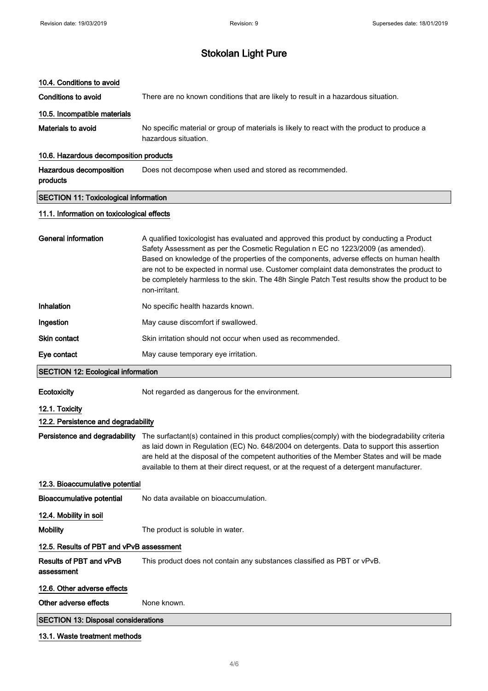## 10.4. Conditions to avoid

Conditions to avoid There are no known conditions that are likely to result in a hazardous situation.

## 10.5. Incompatible materials

Materials to avoid No specific material or group of materials is likely to react with the product to produce a hazardous situation.

## 10.6. Hazardous decomposition products

Hazardous decomposition products Does not decompose when used and stored as recommended.

## SECTION 11: Toxicological information

## 11.1. Information on toxicological effects

| General information                                   | A qualified toxicologist has evaluated and approved this product by conducting a Product<br>Safety Assessment as per the Cosmetic Regulation n EC no 1223/2009 (as amended).<br>Based on knowledge of the properties of the components, adverse effects on human health<br>are not to be expected in normal use. Customer complaint data demonstrates the product to<br>be completely harmless to the skin. The 48h Single Patch Test results show the product to be<br>non-irritant. |  |
|-------------------------------------------------------|---------------------------------------------------------------------------------------------------------------------------------------------------------------------------------------------------------------------------------------------------------------------------------------------------------------------------------------------------------------------------------------------------------------------------------------------------------------------------------------|--|
| Inhalation                                            | No specific health hazards known.                                                                                                                                                                                                                                                                                                                                                                                                                                                     |  |
| Ingestion                                             | May cause discomfort if swallowed.                                                                                                                                                                                                                                                                                                                                                                                                                                                    |  |
| Skin contact                                          | Skin irritation should not occur when used as recommended.                                                                                                                                                                                                                                                                                                                                                                                                                            |  |
| Eye contact                                           | May cause temporary eye irritation.                                                                                                                                                                                                                                                                                                                                                                                                                                                   |  |
| <b>SECTION 12: Ecological information</b>             |                                                                                                                                                                                                                                                                                                                                                                                                                                                                                       |  |
| Ecotoxicity                                           | Not regarded as dangerous for the environment.                                                                                                                                                                                                                                                                                                                                                                                                                                        |  |
| 12.1. Toxicity<br>12.2. Persistence and degradability |                                                                                                                                                                                                                                                                                                                                                                                                                                                                                       |  |
| Persistence and degradability                         | The surfactant(s) contained in this product complies(comply) with the biodegradability criteria<br>as laid down in Regulation (EC) No. 648/2004 on detergents. Data to support this assertion<br>are held at the disposal of the competent authorities of the Member States and will be made<br>available to them at their direct request, or at the request of a detergent manufacturer.                                                                                             |  |
| 12.3. Bioaccumulative potential                       |                                                                                                                                                                                                                                                                                                                                                                                                                                                                                       |  |
| <b>Bioaccumulative potential</b>                      | No data available on bioaccumulation.                                                                                                                                                                                                                                                                                                                                                                                                                                                 |  |
| 12.4. Mobility in soil                                |                                                                                                                                                                                                                                                                                                                                                                                                                                                                                       |  |
| <b>Mobility</b>                                       | The product is soluble in water.                                                                                                                                                                                                                                                                                                                                                                                                                                                      |  |
| 12.5. Results of PBT and vPvB assessment              |                                                                                                                                                                                                                                                                                                                                                                                                                                                                                       |  |
| Results of PBT and vPvB<br>assessment                 | This product does not contain any substances classified as PBT or vPvB.                                                                                                                                                                                                                                                                                                                                                                                                               |  |
| 12.6. Other adverse effects                           |                                                                                                                                                                                                                                                                                                                                                                                                                                                                                       |  |
| Other adverse effects                                 | None known.                                                                                                                                                                                                                                                                                                                                                                                                                                                                           |  |
| <b>SECTION 13: Disposal considerations</b>            |                                                                                                                                                                                                                                                                                                                                                                                                                                                                                       |  |
| 13.1. Waste treatment methods                         |                                                                                                                                                                                                                                                                                                                                                                                                                                                                                       |  |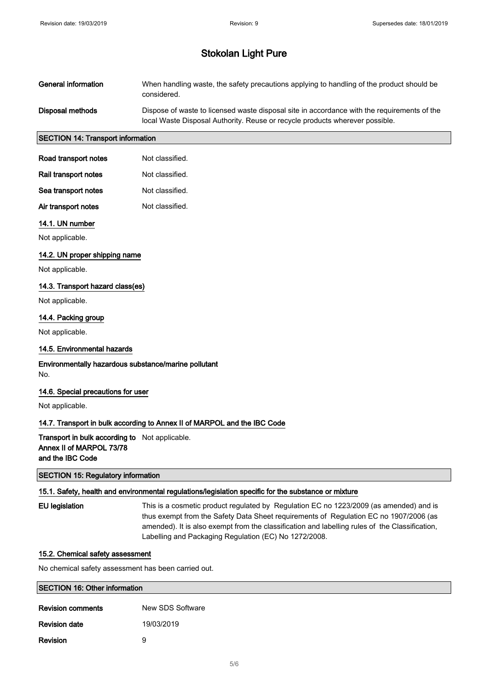| General information | When handling waste, the safety precautions applying to handling of the product should be<br>considered.                                                                    |
|---------------------|-----------------------------------------------------------------------------------------------------------------------------------------------------------------------------|
| Disposal methods    | Dispose of waste to licensed waste disposal site in accordance with the requirements of the<br>local Waste Disposal Authority. Reuse or recycle products wherever possible. |

## SECTION 14: Transport information

| Road transport notes | Not classified. |
|----------------------|-----------------|
| Rail transport notes | Not classified. |
| Sea transport notes  | Not classified. |
| Air transport notes  | Not classified. |

#### 14.1. UN number

Not applicable.

## 14.2. UN proper shipping name

Not applicable.

## 14.3. Transport hazard class(es)

Not applicable.

#### 14.4. Packing group

Not applicable.

#### 14.5. Environmental hazards

## Environmentally hazardous substance/marine pollutant No.

#### 14.6. Special precautions for user

Not applicable.

#### 14.7. Transport in bulk according to Annex II of MARPOL and the IBC Code

## Transport in bulk according to Not applicable. Annex II of MARPOL 73/78 and the IBC Code

## SECTION 15: Regulatory information

## 15.1. Safety, health and environmental regulations/legislation specific for the substance or mixture

EU legislation This is a cosmetic product regulated by Regulation EC no 1223/2009 (as amended) and is thus exempt from the Safety Data Sheet requirements of Regulation EC no 1907/2006 (as amended). It is also exempt from the classification and labelling rules of the Classification, Labelling and Packaging Regulation (EC) No 1272/2008.

#### 15.2. Chemical safety assessment

No chemical safety assessment has been carried out.

| <b>SECTION 16: Other information</b> |                  |  |
|--------------------------------------|------------------|--|
| <b>Revision comments</b>             | New SDS Software |  |
| <b>Revision date</b>                 | 19/03/2019       |  |
| <b>Revision</b>                      | 9                |  |